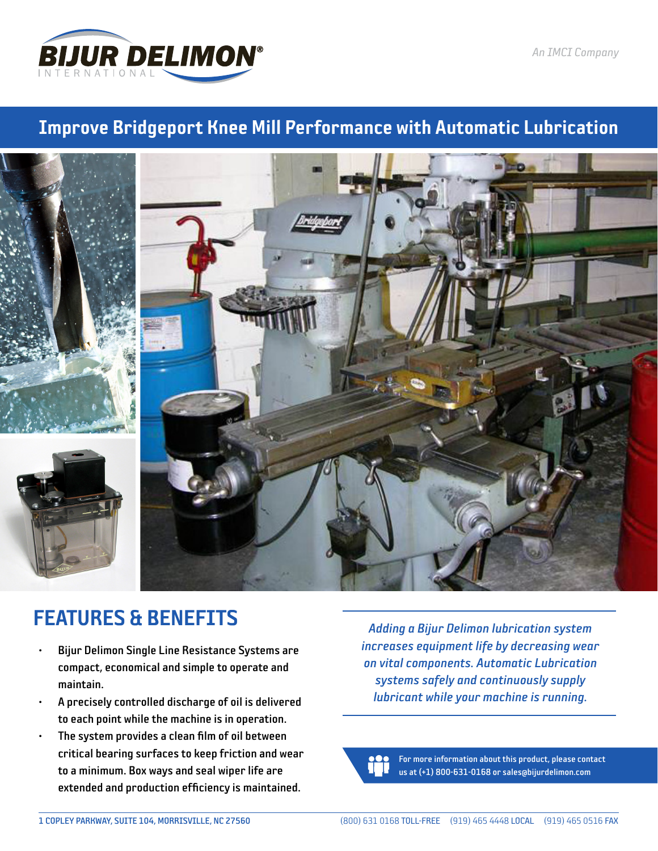

## Improve Bridgeport Knee Mill Performance with Automatic Lubrication







- Bijur Delimon Single Line Resistance Systems are compact, economical and simple to operate and maintain.
- A precisely controlled discharge of oil is delivered to each point while the machine is in operation.
- The system provides a clean film of oil between critical bearing surfaces to keep friction and wear to a minimum. Box ways and seal wiper life are extended and production efficiency is maintained.

*Adding a Bijur Delimon lubrication system increases equipment life by decreasing wear on vital components. Automatic Lubrication systems safely and continuously supply lubricant while your machine is running.*

For more information about this product, please contact us at (+1) 800-631-0168 or sales@bijurdelimon.com